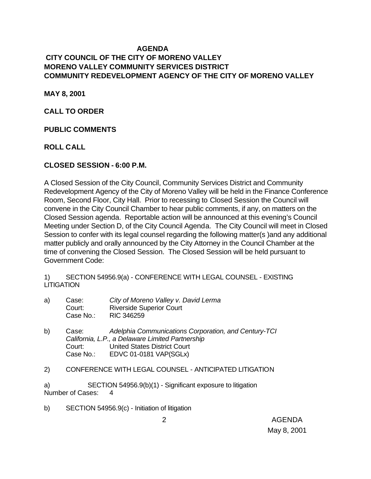#### **AGENDA CITY COUNCIL OF THE CITY OF MORENO VALLEY MORENO VALLEY COMMUNITY SERVICES DISTRICT COMMUNITY REDEVELOPMENT AGENCY OF THE CITY OF MORENO VALLEY**

**MAY 8, 2001**

**CALL TO ORDER**

**PUBLIC COMMENTS**

**ROLL CALL**

#### **CLOSED SESSION - 6:00 P.M.**

A Closed Session of the City Council, Community Services District and Community Redevelopment Agency of the City of Moreno Valley will be held in the Finance Conference Room, Second Floor, City Hall. Prior to recessing to Closed Session the Council will convene in the City Council Chamber to hear public comments, if any, on matters on the Closed Session agenda. Reportable action will be announced at this evening's Council Meeting under Section D, of the City Council Agenda. The City Council will meet in Closed Session to confer with its legal counsel regarding the following matter(s )and any additional matter publicly and orally announced by the City Attorney in the Council Chamber at the time of convening the Closed Session. The Closed Session will be held pursuant to Government Code:

1) SECTION 54956.9(a) - CONFERENCE WITH LEGAL COUNSEL - EXISTING **LITIGATION** 

- a) Case: *City of Moreno Valley v. David Lerma* Court: Riverside Superior Court Case No.: RIC 346259
- b) Case: *Adelphia Communications Corporation, and Century-TCI California, L.P., a Delaware Limited Partnership* Court: United States District Court Case No.: EDVC 01-0181 VAP(SGLx)
- 2) CONFERENCE WITH LEGAL COUNSEL ANTICIPATED LITIGATION

a) SECTION 54956.9(b)(1) - Significant exposure to litigation Number of Cases: 4

b) SECTION 54956.9(c) - Initiation of litigation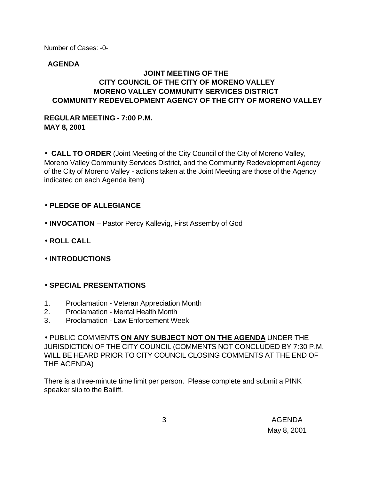Number of Cases: -0-

#### **AGENDA**

#### **JOINT MEETING OF THE CITY COUNCIL OF THE CITY OF MORENO VALLEY MORENO VALLEY COMMUNITY SERVICES DISTRICT COMMUNITY REDEVELOPMENT AGENCY OF THE CITY OF MORENO VALLEY**

#### **REGULAR MEETING - 7:00 P.M. MAY 8, 2001**

• **CALL TO ORDER** (Joint Meeting of the City Council of the City of Moreno Valley, Moreno Valley Community Services District, and the Community Redevelopment Agency of the City of Moreno Valley - actions taken at the Joint Meeting are those of the Agency indicated on each Agenda item)

### • **PLEDGE OF ALLEGIANCE**

- **INVOCATION** Pastor Percy Kallevig, First Assemby of God
- **ROLL CALL**
- **INTRODUCTIONS**

### • **SPECIAL PRESENTATIONS**

- 1. Proclamation Veteran Appreciation Month
- 2. Proclamation Mental Health Month
- 3. Proclamation Law Enforcement Week

• PUBLIC COMMENTS **ON ANY SUBJECT NOT ON THE AGENDA** UNDER THE JURISDICTION OF THE CITY COUNCIL (COMMENTS NOT CONCLUDED BY 7:30 P.M. WILL BE HEARD PRIOR TO CITY COUNCIL CLOSING COMMENTS AT THE END OF THE AGENDA)

There is a three-minute time limit per person. Please complete and submit a PINK speaker slip to the Bailiff.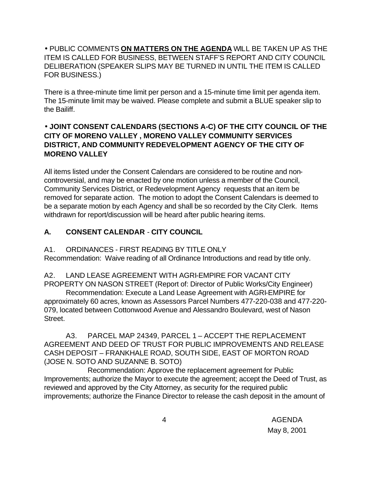### • PUBLIC COMMENTS **ON MATTERS ON THE AGENDA** WILL BE TAKEN UP AS THE ITEM IS CALLED FOR BUSINESS, BETWEEN STAFF'S REPORT AND CITY COUNCIL DELIBERATION (SPEAKER SLIPS MAY BE TURNED IN UNTIL THE ITEM IS CALLED FOR BUSINESS.)

There is a three-minute time limit per person and a 15-minute time limit per agenda item. The 15-minute limit may be waived. Please complete and submit a BLUE speaker slip to the Bailiff.

### • **JOINT CONSENT CALENDARS (SECTIONS A-C) OF THE CITY COUNCIL OF THE CITY OF MORENO VALLEY , MORENO VALLEY COMMUNITY SERVICES DISTRICT, AND COMMUNITY REDEVELOPMENT AGENCY OF THE CITY OF MORENO VALLEY**

All items listed under the Consent Calendars are considered to be routine and noncontroversial, and may be enacted by one motion unless a member of the Council, Community Services District, or Redevelopment Agency requests that an item be removed for separate action. The motion to adopt the Consent Calendars is deemed to be a separate motion by each Agency and shall be so recorded by the City Clerk. Items withdrawn for report/discussion will be heard after public hearing items.

## **A. CONSENT CALENDAR** - **CITY COUNCIL**

A1. ORDINANCES - FIRST READING BY TITLE ONLY

Recommendation: Waive reading of all Ordinance Introductions and read by title only.

A2. LAND LEASE AGREEMENT WITH AGRI-EMPIRE FOR VACANT CITY PROPERTY ON NASON STREET (Report of: Director of Public Works/City Engineer)

Recommendation: Execute a Land Lease Agreement with AGRI-EMPIRE for approximately 60 acres, known as Assessors Parcel Numbers 477-220-038 and 477-220- 079, located between Cottonwood Avenue and Alessandro Boulevard, west of Nason Street.

A3. PARCEL MAP 24349, PARCEL 1 – ACCEPT THE REPLACEMENT AGREEMENT AND DEED OF TRUST FOR PUBLIC IMPROVEMENTS AND RELEASE CASH DEPOSIT – FRANKHALE ROAD, SOUTH SIDE, EAST OF MORTON ROAD (JOSE N. SOTO AND SUZANNE B. SOTO)

Recommendation: Approve the replacement agreement for Public Improvements; authorize the Mayor to execute the agreement; accept the Deed of Trust, as reviewed and approved by the City Attorney, as security for the required public improvements; authorize the Finance Director to release the cash deposit in the amount of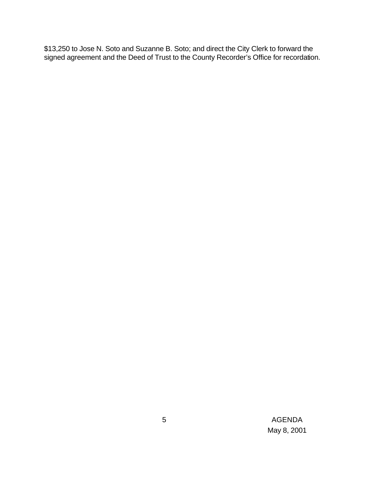\$13,250 to Jose N. Soto and Suzanne B. Soto; and direct the City Clerk to forward the signed agreement and the Deed of Trust to the County Recorder's Office for recordation.

> 5 AGENDA May 8, 2001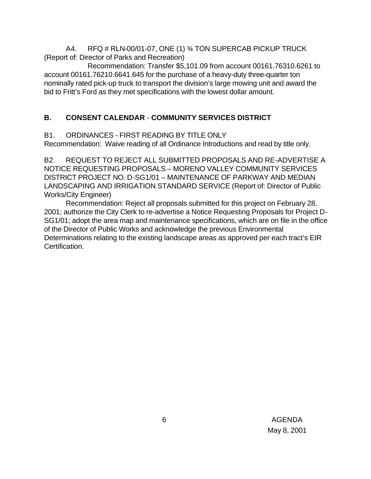A4. RFQ # RLN-00/01-07, ONE (1) ¾ TON SUPERCAB PICKUP TRUCK (Report of: Director of Parks and Recreation)

Recommendation: Transfer \$5,101.09 from account 00161.76310.6261 to account 00161.76210.6641.645 for the purchase of a heavy-duty three-quarter ton nominally rated pick-up truck to transport the division's large mowing unit and award the bid to Fritt's Ford as they met specifications with the lowest dollar amount.

### **B. CONSENT CALENDAR** - **COMMUNITY SERVICES DISTRICT**

B1. ORDINANCES - FIRST READING BY TITLE ONLY

Recommendation: Waive reading of all Ordinance Introductions and read by title only.

B2. REQUEST TO REJECT ALL SUBMITTED PROPOSALS AND RE-ADVERTISE A NOTICE REQUESTING PROPOSALS – MORENO VALLEY COMMUNITY SERVICES DISTRICT PROJECT NO. D-SG1/01 – MAINTENANCE OF PARKWAY AND MEDIAN LANDSCAPING AND IRRIGATION STANDARD SERVICE (Report of: Director of Public Works/City Engineer)

Recommendation: Reject all proposals submitted for this project on February 28, 2001; authorize the City Clerk to re-advertise a Notice Requesting Proposals for Project D-SG1/01; adopt the area map and maintenance specifications, which are on file in the office of the Director of Public Works and acknowledge the previous Environmental Determinations relating to the existing landscape areas as approved per each tract's EIR Certification.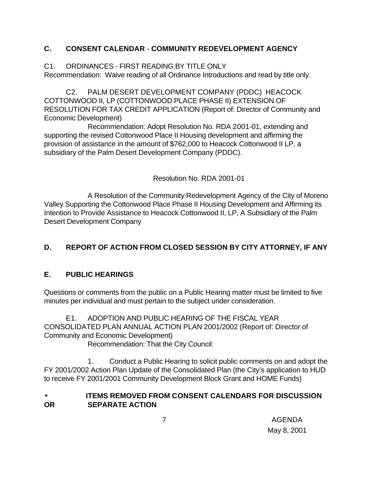### **C. CONSENT CALENDAR** - **COMMUNITY REDEVELOPMENT AGENCY**

C1. ORDINANCES - FIRST READING BY TITLE ONLY

Recommendation: Waive reading of all Ordinance Introductions and read by title only.

C2. PALM DESERT DEVELOPMENT COMPANY (PDDC) HEACOCK COTTONWOOD II, LP (COTTONWOOD PLACE PHASE II) EXTENSION OF RESOLUTION FOR TAX CREDIT APPLICATION (Report of: Director of Community and Economic Development)

Recommendation: Adopt Resolution No. RDA 2001-01, extending and supporting the revised Cottonwood Place II Housing development and affirming the provision of assistance in the amount of \$762,000 to Heacock Cottonwood II LP, a subsidiary of the Palm Desert Development Company (PDDC).

Resolution No. RDA 2001-01

A Resolution of the Community Redevelopment Agency of the City of Moreno Valley Supporting the Cottonwood Place Phase II Housing Development and Affirming its Intention to Provide Assistance to Heacock Cottonwood II, LP, A Subsidiary of the Palm Desert Development Company

# **D. REPORT OF ACTION FROM CLOSED SESSION BY CITY ATTORNEY, IF ANY**

## **E. PUBLIC HEARINGS**

Questions or comments from the public on a Public Hearing matter must be limited to five minutes per individual and must pertain to the subject under consideration.

E1. ADOPTION AND PUBLIC HEARING OF THE FISCAL YEAR CONSOLIDATED PLAN ANNUAL ACTION PLAN 2001/2002 (Report of: Director of Community and Economic Development) Recommendation: That the City Council:

1. Conduct a Public Hearing to solicit public comments on and adopt the FY 2001/2002 Action Plan Update of the Consolidated Plan (the City's application to HUD to receive FY 2001/2001 Community Development Block Grant and HOME Funds)

### • **ITEMS REMOVED FROM CONSENT CALENDARS FOR DISCUSSION OR SEPARATE ACTION**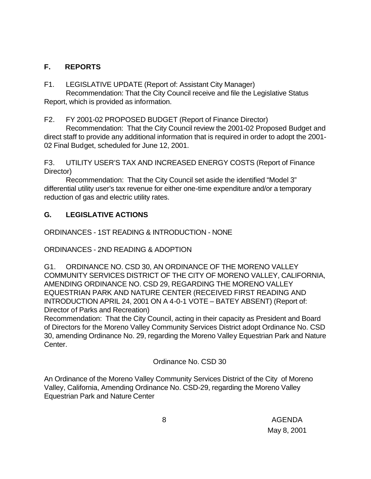### **F. REPORTS**

F1. LEGISLATIVE UPDATE (Report of: Assistant City Manager)

Recommendation: That the City Council receive and file the Legislative Status Report, which is provided as information.

F2. FY 2001-02 PROPOSED BUDGET (Report of Finance Director)

Recommendation: That the City Council review the 2001-02 Proposed Budget and direct staff to provide any additional information that is required in order to adopt the 2001- 02 Final Budget, scheduled for June 12, 2001.

F3. UTILITY USER'S TAX AND INCREASED ENERGY COSTS (Report of Finance Director)

Recommendation: That the City Council set aside the identified "Model 3" differential utility user's tax revenue for either one-time expenditure and/or a temporary reduction of gas and electric utility rates.

### **G. LEGISLATIVE ACTIONS**

ORDINANCES - 1ST READING & INTRODUCTION - NONE

ORDINANCES - 2ND READING & ADOPTION

G1. ORDINANCE NO. CSD 30, AN ORDINANCE OF THE MORENO VALLEY COMMUNITY SERVICES DISTRICT OF THE CITY OF MORENO VALLEY, CALIFORNIA, AMENDING ORDINANCE NO. CSD 29, REGARDING THE MORENO VALLEY EQUESTRIAN PARK AND NATURE CENTER (RECEIVED FIRST READING AND INTRODUCTION APRIL 24, 2001 ON A 4-0-1 VOTE – BATEY ABSENT) (Report of: Director of Parks and Recreation)

Recommendation: That the City Council, acting in their capacity as President and Board of Directors for the Moreno Valley Community Services District adopt Ordinance No. CSD 30, amending Ordinance No. 29, regarding the Moreno Valley Equestrian Park and Nature Center.

Ordinance No. CSD 30

An Ordinance of the Moreno Valley Community Services District of the City of Moreno Valley, California, Amending Ordinance No. CSD-29, regarding the Moreno Valley Equestrian Park and Nature Center